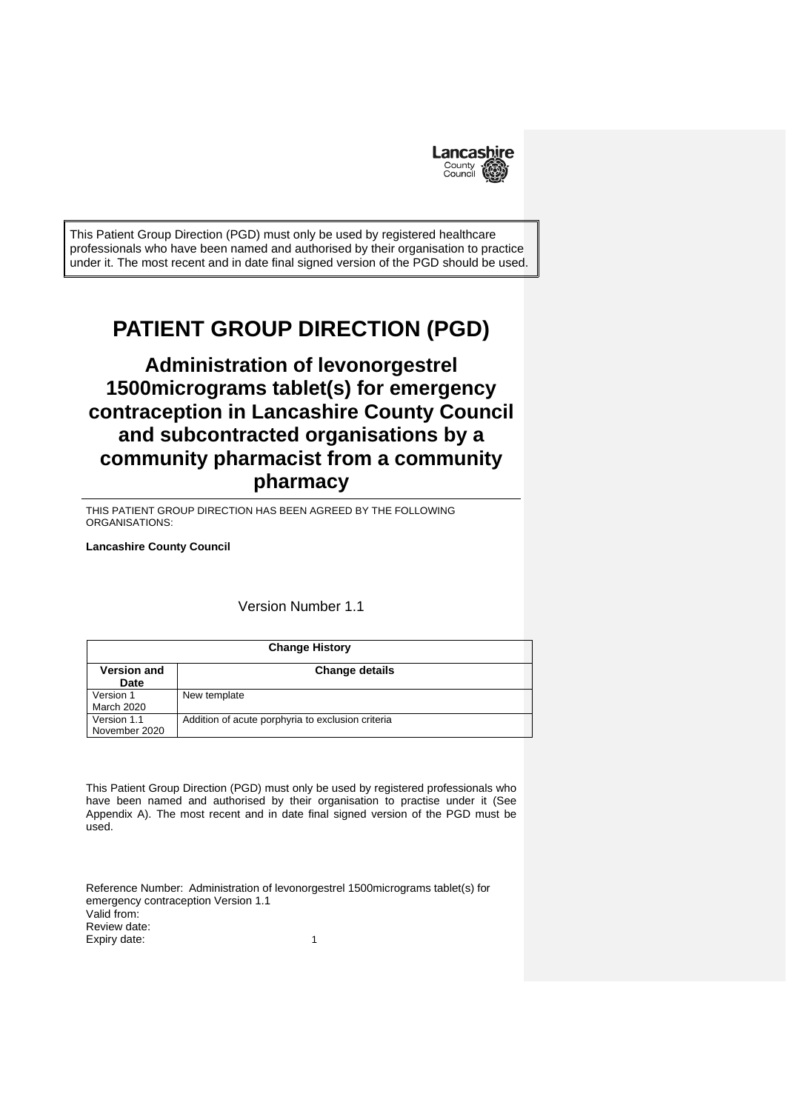

This Patient Group Direction (PGD) must only be used by registered healthcare professionals who have been named and authorised by their organisation to practice under it. The most recent and in date final signed version of the PGD should be used.

# **PATIENT GROUP DIRECTION (PGD)**

# **Administration of levonorgestrel 1500micrograms tablet(s) for emergency contraception in Lancashire County Council and subcontracted organisations by a community pharmacist from a community pharmacy**

THIS PATIENT GROUP DIRECTION HAS BEEN AGREED BY THE FOLLOWING ORGANISATIONS:

**Lancashire County Council**

# Version Number 1.1

| <b>Change History</b>        |                                                   |
|------------------------------|---------------------------------------------------|
| <b>Version and</b><br>Date   | <b>Change details</b>                             |
| Version 1<br>March 2020      | New template                                      |
| Version 1.1<br>November 2020 | Addition of acute porphyria to exclusion criteria |

This Patient Group Direction (PGD) must only be used by registered professionals who have been named and authorised by their organisation to practise under it (See Appendix A). The most recent and in date final signed version of the PGD must be used.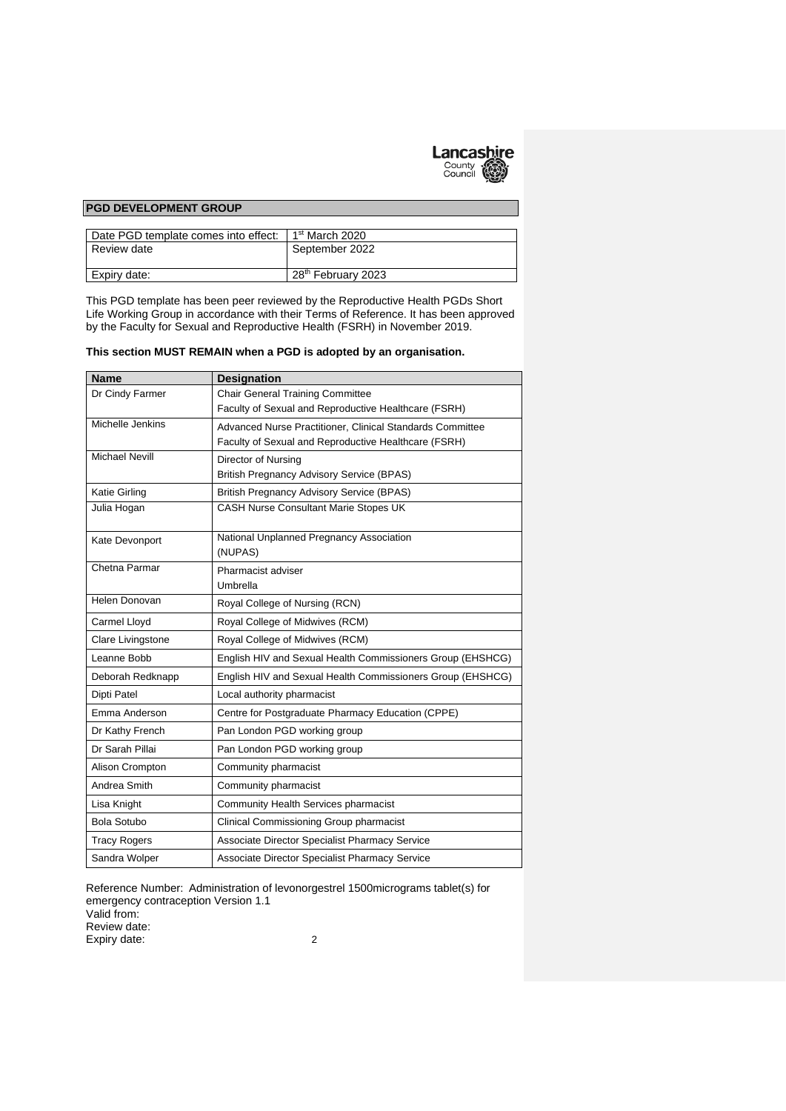

#### **PGD DEVELOPMENT GROUP**

| Date PGD template comes into effect: | 1 <sup>st</sup> March 2020     |
|--------------------------------------|--------------------------------|
| Review date                          | September 2022                 |
| Expiry date:                         | 28 <sup>th</sup> February 2023 |

This PGD template has been peer reviewed by the Reproductive Health PGDs Short Life Working Group in accordance with their Terms of Reference. It has been approved by the Faculty for Sexual and Reproductive Health (FSRH) in November 2019.

#### **This section MUST REMAIN when a PGD is adopted by an organisation.**

| <b>Name</b>           | <b>Designation</b>                                         |
|-----------------------|------------------------------------------------------------|
| Dr Cindy Farmer       | <b>Chair General Training Committee</b>                    |
|                       | Faculty of Sexual and Reproductive Healthcare (FSRH)       |
| Michelle Jenkins      | Advanced Nurse Practitioner, Clinical Standards Committee  |
|                       | Faculty of Sexual and Reproductive Healthcare (FSRH)       |
| <b>Michael Nevill</b> | Director of Nursing                                        |
|                       | <b>British Pregnancy Advisory Service (BPAS)</b>           |
| <b>Katie Girling</b>  | <b>British Pregnancy Advisory Service (BPAS)</b>           |
| Julia Hogan           | <b>CASH Nurse Consultant Marie Stopes UK</b>               |
| Kate Devonport        | National Unplanned Pregnancy Association<br>(NUPAS)        |
| Chetna Parmar         | Pharmacist adviser                                         |
|                       | Umbrella                                                   |
| Helen Donovan         | Royal College of Nursing (RCN)                             |
|                       |                                                            |
| Carmel Lloyd          | Royal College of Midwives (RCM)                            |
| Clare Livingstone     | Royal College of Midwives (RCM)                            |
| Leanne Bobb           | English HIV and Sexual Health Commissioners Group (EHSHCG) |
| Deborah Redknapp      | English HIV and Sexual Health Commissioners Group (EHSHCG) |
| Dipti Patel           | Local authority pharmacist                                 |
| Emma Anderson         | Centre for Postgraduate Pharmacy Education (CPPE)          |
| Dr Kathy French       | Pan London PGD working group                               |
| Dr Sarah Pillai       | Pan London PGD working group                               |
| Alison Crompton       | Community pharmacist                                       |
| Andrea Smith          | Community pharmacist                                       |
| Lisa Knight           | Community Health Services pharmacist                       |
| <b>Bola Sotubo</b>    | Clinical Commissioning Group pharmacist                    |
| <b>Tracy Rogers</b>   | Associate Director Specialist Pharmacy Service             |
| Sandra Wolper         | <b>Associate Director Specialist Pharmacy Service</b>      |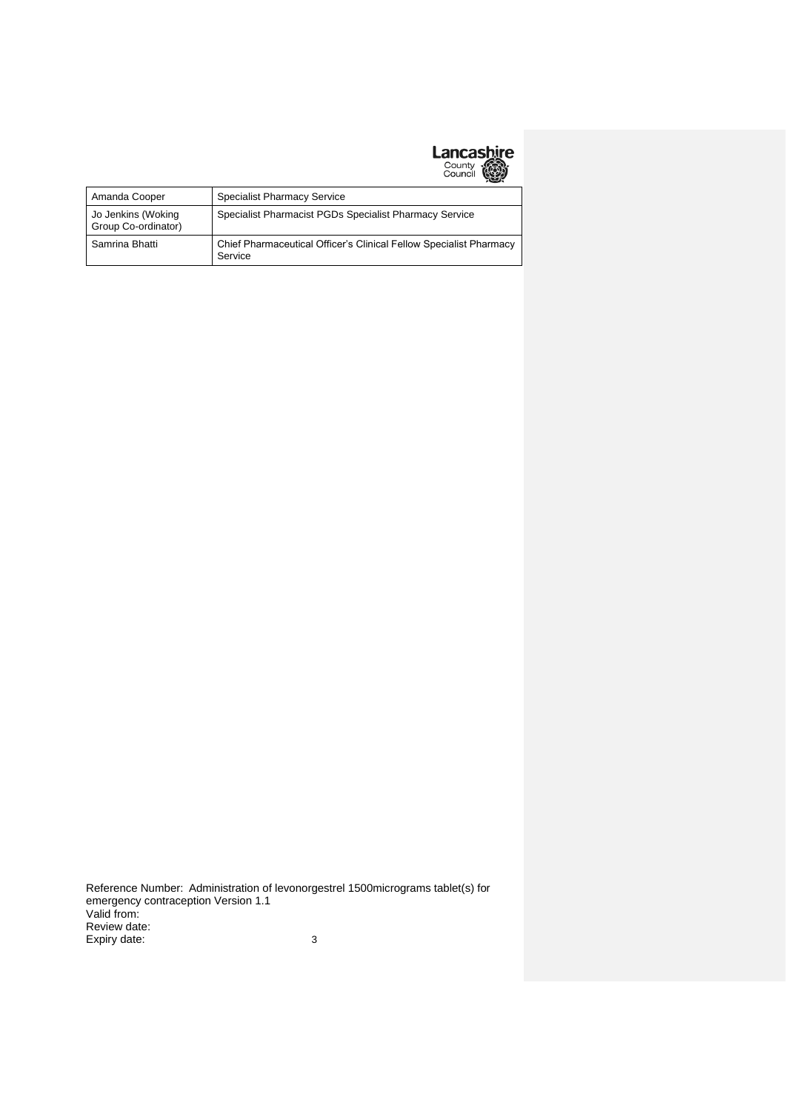# **Lancashire**<br>County<br>Council (

| Amanda Cooper                             | <b>Specialist Pharmacy Service</b>                                            |
|-------------------------------------------|-------------------------------------------------------------------------------|
| Jo Jenkins (Woking<br>Group Co-ordinator) | Specialist Pharmacist PGDs Specialist Pharmacy Service                        |
| Samrina Bhatti                            | Chief Pharmaceutical Officer's Clinical Fellow Specialist Pharmacy<br>Service |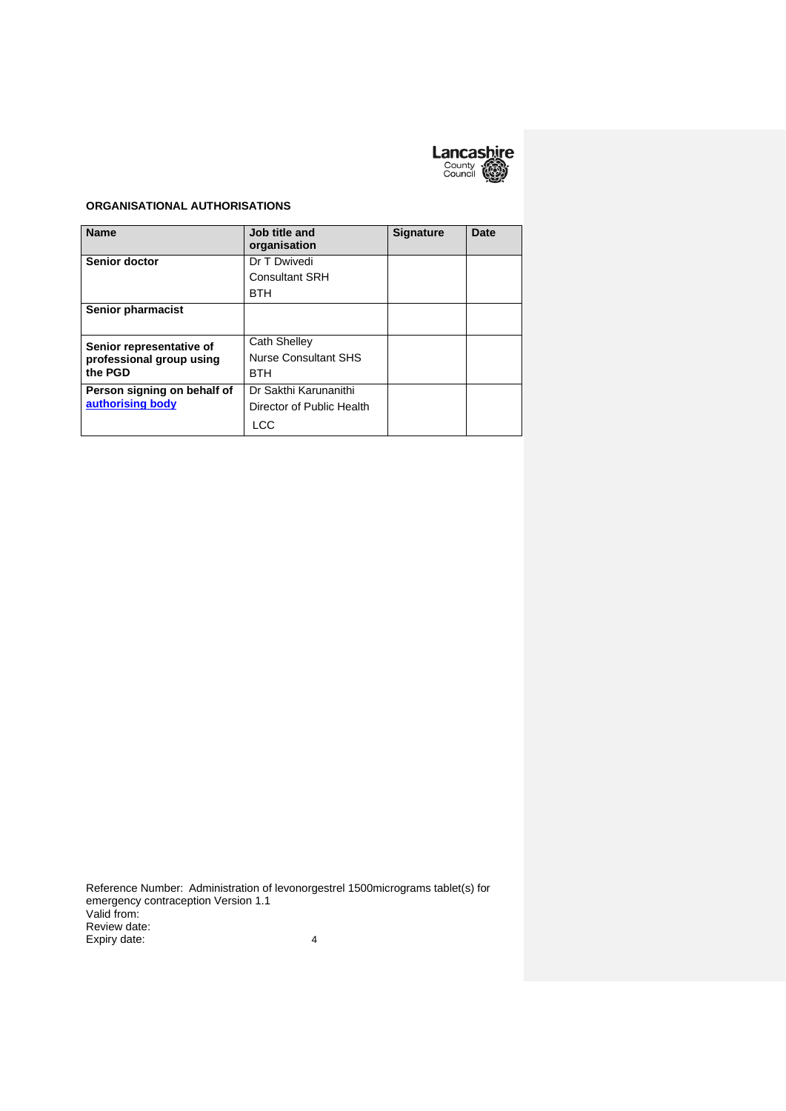

### **ORGANISATIONAL AUTHORISATIONS**

| <b>Name</b>                 | Job title and<br>organisation | <b>Signature</b> | Date |
|-----------------------------|-------------------------------|------------------|------|
| Senior doctor               | Dr T Dwivedi                  |                  |      |
|                             | <b>Consultant SRH</b>         |                  |      |
|                             | <b>BTH</b>                    |                  |      |
| Senior pharmacist           |                               |                  |      |
| Senior representative of    | <b>Cath Shelley</b>           |                  |      |
| professional group using    | <b>Nurse Consultant SHS</b>   |                  |      |
| the PGD                     | <b>BTH</b>                    |                  |      |
| Person signing on behalf of | Dr Sakthi Karunanithi         |                  |      |
| authorising body            | Director of Public Health     |                  |      |
|                             | LCC                           |                  |      |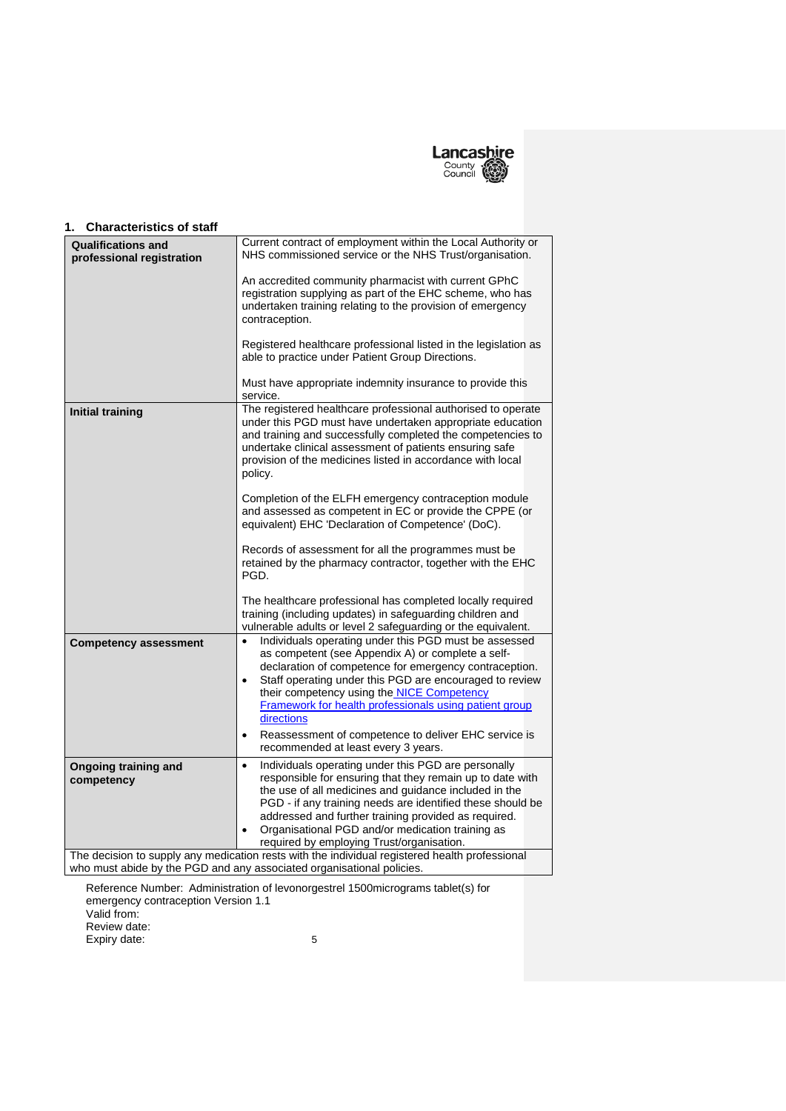

#### **Qualifications and professional registration** Current contract of employment within the Local Authority or NHS commissioned service or the NHS Trust/organisation.

**1. Characteristics of staff**

|                                           | An accredited community pharmacist with current GPhC<br>registration supplying as part of the EHC scheme, who has<br>undertaken training relating to the provision of emergency<br>contraception.<br>Registered healthcare professional listed in the legislation as<br>able to practice under Patient Group Directions.                                                                                                   |
|-------------------------------------------|----------------------------------------------------------------------------------------------------------------------------------------------------------------------------------------------------------------------------------------------------------------------------------------------------------------------------------------------------------------------------------------------------------------------------|
|                                           | Must have appropriate indemnity insurance to provide this<br>service.                                                                                                                                                                                                                                                                                                                                                      |
| <b>Initial training</b>                   | The registered healthcare professional authorised to operate<br>under this PGD must have undertaken appropriate education<br>and training and successfully completed the competencies to<br>undertake clinical assessment of patients ensuring safe<br>provision of the medicines listed in accordance with local<br>policy.                                                                                               |
|                                           | Completion of the ELFH emergency contraception module<br>and assessed as competent in EC or provide the CPPE (or<br>equivalent) EHC 'Declaration of Competence' (DoC).                                                                                                                                                                                                                                                     |
|                                           | Records of assessment for all the programmes must be<br>retained by the pharmacy contractor, together with the EHC<br>PGD.                                                                                                                                                                                                                                                                                                 |
|                                           | The healthcare professional has completed locally required<br>training (including updates) in safeguarding children and<br>vulnerable adults or level 2 safeguarding or the equivalent.                                                                                                                                                                                                                                    |
| <b>Competency assessment</b>              | Individuals operating under this PGD must be assessed<br>$\bullet$<br>as competent (see Appendix A) or complete a self-<br>declaration of competence for emergency contraception.<br>Staff operating under this PGD are encouraged to review<br>$\bullet$<br>their competency using the NICE Competency<br>Framework for health professionals using patient group<br>directions                                            |
|                                           | Reassessment of competence to deliver EHC service is<br>$\bullet$<br>recommended at least every 3 years.                                                                                                                                                                                                                                                                                                                   |
| <b>Ongoing training and</b><br>competency | Individuals operating under this PGD are personally<br>$\bullet$<br>responsible for ensuring that they remain up to date with<br>the use of all medicines and guidance included in the<br>PGD - if any training needs are identified these should be<br>addressed and further training provided as required.<br>Organisational PGD and/or medication training as<br>$\bullet$<br>required by employing Trust/organisation. |
|                                           | The decision to supply any medication rests with the individual registered health professional<br>who must abide by the PGD and any associated organisational policies.                                                                                                                                                                                                                                                    |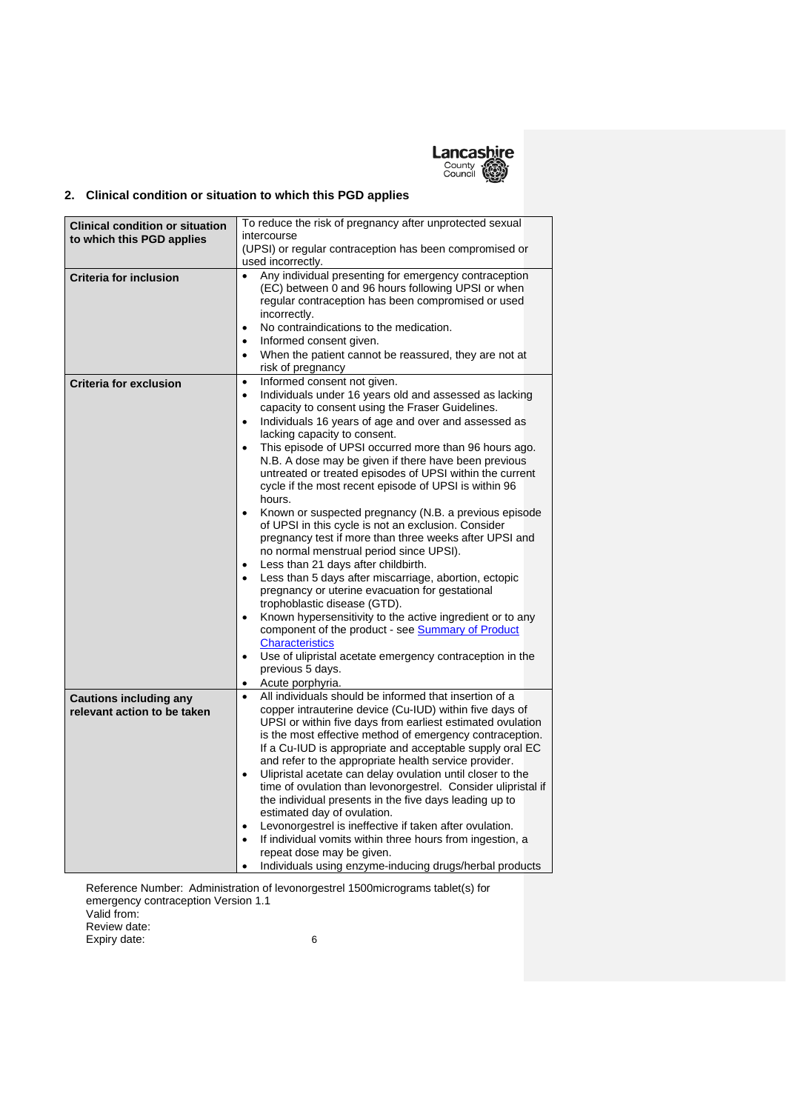

# **2. Clinical condition or situation to which this PGD applies**

| <b>Clinical condition or situation</b><br>to which this PGD applies | To reduce the risk of pregnancy after unprotected sexual<br>intercourse                                                                                                                                                                                                                                                                                                                                                                                                                                                                                                                                                                                                                                                                                                                                                                                                                                                                                                                                                                                                                                                                                                                                                |
|---------------------------------------------------------------------|------------------------------------------------------------------------------------------------------------------------------------------------------------------------------------------------------------------------------------------------------------------------------------------------------------------------------------------------------------------------------------------------------------------------------------------------------------------------------------------------------------------------------------------------------------------------------------------------------------------------------------------------------------------------------------------------------------------------------------------------------------------------------------------------------------------------------------------------------------------------------------------------------------------------------------------------------------------------------------------------------------------------------------------------------------------------------------------------------------------------------------------------------------------------------------------------------------------------|
|                                                                     | (UPSI) or regular contraception has been compromised or<br>used incorrectly.                                                                                                                                                                                                                                                                                                                                                                                                                                                                                                                                                                                                                                                                                                                                                                                                                                                                                                                                                                                                                                                                                                                                           |
| <b>Criteria for inclusion</b>                                       | Any individual presenting for emergency contraception<br>$\bullet$<br>(EC) between 0 and 96 hours following UPSI or when<br>regular contraception has been compromised or used<br>incorrectly.<br>No contraindications to the medication.<br>$\bullet$<br>Informed consent given.<br>$\bullet$<br>When the patient cannot be reassured, they are not at<br>$\bullet$<br>risk of pregnancy                                                                                                                                                                                                                                                                                                                                                                                                                                                                                                                                                                                                                                                                                                                                                                                                                              |
| <b>Criteria for exclusion</b>                                       | Informed consent not given.<br>$\bullet$<br>Individuals under 16 years old and assessed as lacking<br>$\bullet$<br>capacity to consent using the Fraser Guidelines.<br>Individuals 16 years of age and over and assessed as<br>$\bullet$<br>lacking capacity to consent.<br>This episode of UPSI occurred more than 96 hours ago.<br>$\bullet$<br>N.B. A dose may be given if there have been previous<br>untreated or treated episodes of UPSI within the current<br>cycle if the most recent episode of UPSI is within 96<br>hours.<br>Known or suspected pregnancy (N.B. a previous episode<br>$\bullet$<br>of UPSI in this cycle is not an exclusion. Consider<br>pregnancy test if more than three weeks after UPSI and<br>no normal menstrual period since UPSI).<br>Less than 21 days after childbirth.<br>$\bullet$<br>Less than 5 days after miscarriage, abortion, ectopic<br>$\bullet$<br>pregnancy or uterine evacuation for gestational<br>trophoblastic disease (GTD).<br>Known hypersensitivity to the active ingredient or to any<br>$\bullet$<br>component of the product - see Summary of Product<br><b>Characteristics</b><br>Use of ulipristal acetate emergency contraception in the<br>$\bullet$ |
|                                                                     | previous 5 days.<br>Acute porphyria.<br>$\bullet$                                                                                                                                                                                                                                                                                                                                                                                                                                                                                                                                                                                                                                                                                                                                                                                                                                                                                                                                                                                                                                                                                                                                                                      |
| <b>Cautions including any</b><br>relevant action to be taken        | All individuals should be informed that insertion of a<br>$\bullet$<br>copper intrauterine device (Cu-IUD) within five days of<br>UPSI or within five days from earliest estimated ovulation<br>is the most effective method of emergency contraception.<br>If a Cu-IUD is appropriate and acceptable supply oral EC<br>and refer to the appropriate health service provider.<br>Ulipristal acetate can delay ovulation until closer to the<br>$\bullet$<br>time of ovulation than levonorgestrel. Consider ulipristal if<br>the individual presents in the five days leading up to<br>estimated day of ovulation.<br>Levonorgestrel is ineffective if taken after ovulation.<br>$\bullet$<br>If individual vomits within three hours from ingestion, a<br>$\bullet$<br>repeat dose may be given.<br>Individuals using enzyme-inducing drugs/herbal products                                                                                                                                                                                                                                                                                                                                                           |

Reference Number: Administration of levonorgestrel 1500micrograms tablet(s) for emergency contraception Version 1.1 Valid from: Review date:

Expiry date: 6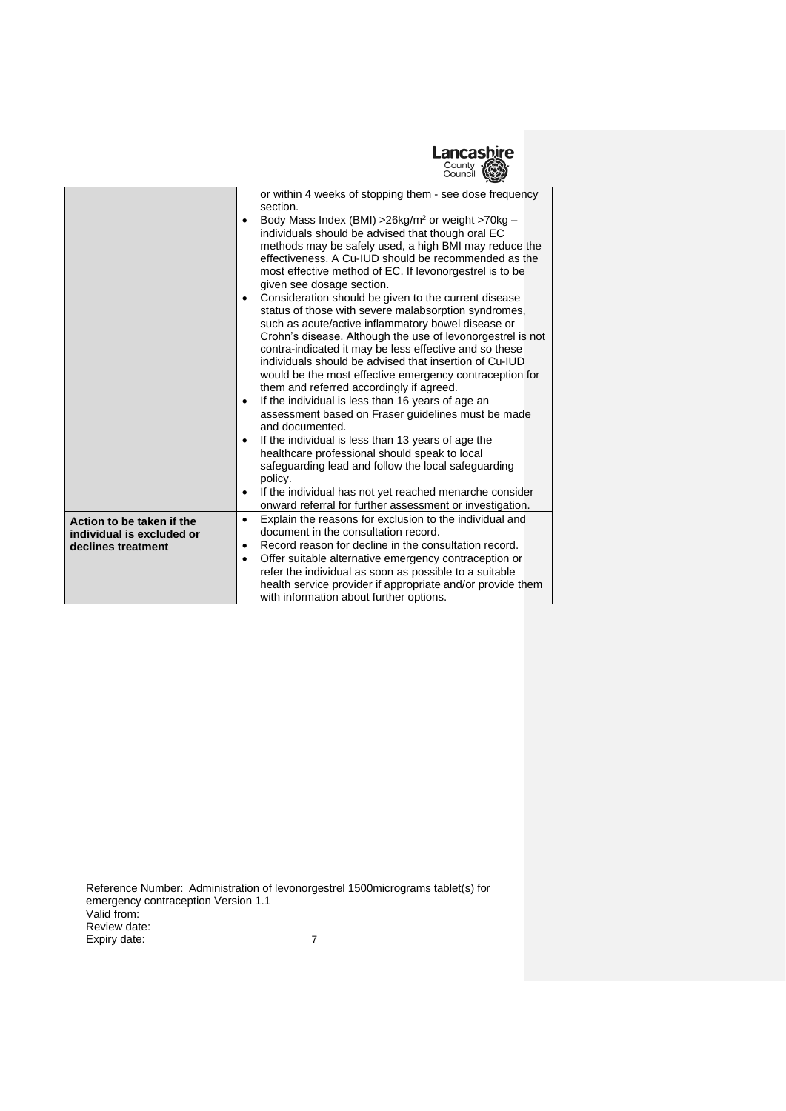

|                           | or within 4 weeks of stopping them - see dose frequency<br>section.                                                                          |
|---------------------------|----------------------------------------------------------------------------------------------------------------------------------------------|
|                           | Body Mass Index (BMI) > 26kg/m <sup>2</sup> or weight > 70kg -<br>$\bullet$<br>individuals should be advised that though oral EC             |
|                           | methods may be safely used, a high BMI may reduce the                                                                                        |
|                           | effectiveness. A Cu-IUD should be recommended as the<br>most effective method of EC. If levonorgestrel is to be<br>given see dosage section. |
|                           | Consideration should be given to the current disease                                                                                         |
|                           | status of those with severe malabsorption syndromes,                                                                                         |
|                           | such as acute/active inflammatory bowel disease or<br>Crohn's disease. Although the use of levonorgestrel is not                             |
|                           | contra-indicated it may be less effective and so these                                                                                       |
|                           | individuals should be advised that insertion of Cu-IUD                                                                                       |
|                           | would be the most effective emergency contraception for                                                                                      |
|                           | them and referred accordingly if agreed.<br>If the individual is less than 16 years of age an<br>$\bullet$                                   |
|                           | assessment based on Fraser guidelines must be made<br>and documented.                                                                        |
|                           | If the individual is less than 13 years of age the<br>$\bullet$                                                                              |
|                           | healthcare professional should speak to local                                                                                                |
|                           | safeguarding lead and follow the local safeguarding<br>policy.                                                                               |
|                           | If the individual has not yet reached menarche consider<br>٠<br>onward referral for further assessment or investigation.                     |
| Action to be taken if the | Explain the reasons for exclusion to the individual and<br>$\bullet$                                                                         |
| individual is excluded or | document in the consultation record.                                                                                                         |
| declines treatment        | Record reason for decline in the consultation record.<br>٠                                                                                   |
|                           | Offer suitable alternative emergency contraception or<br>$\bullet$                                                                           |
|                           | refer the individual as soon as possible to a suitable                                                                                       |
|                           | health service provider if appropriate and/or provide them<br>with information about further options.                                        |
|                           |                                                                                                                                              |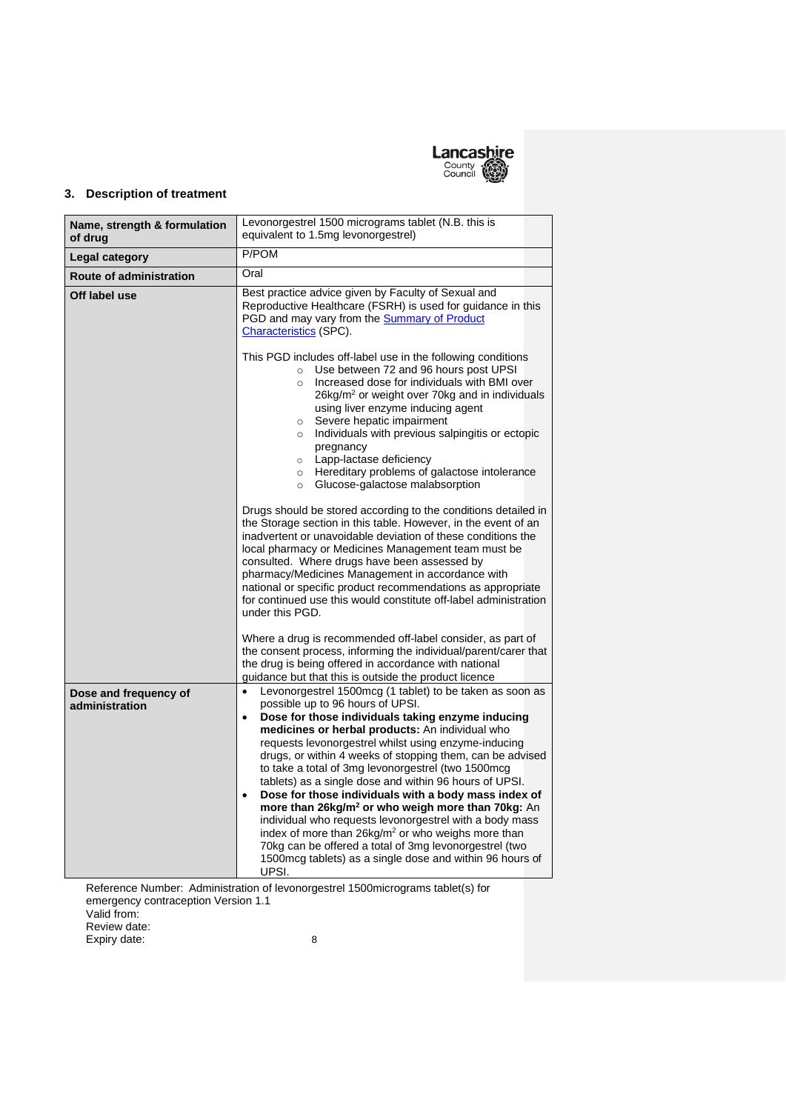

# **3. Description of treatment**

| Name, strength & formulation<br>of drug | Levonorgestrel 1500 micrograms tablet (N.B. this is<br>equivalent to 1.5mg levonorgestrel)                                                                                                                                                                                                                                                                                                                                                                                                                                                                                                                                                                                                                                                                                                                                                                            |
|-----------------------------------------|-----------------------------------------------------------------------------------------------------------------------------------------------------------------------------------------------------------------------------------------------------------------------------------------------------------------------------------------------------------------------------------------------------------------------------------------------------------------------------------------------------------------------------------------------------------------------------------------------------------------------------------------------------------------------------------------------------------------------------------------------------------------------------------------------------------------------------------------------------------------------|
| Legal category                          | P/POM                                                                                                                                                                                                                                                                                                                                                                                                                                                                                                                                                                                                                                                                                                                                                                                                                                                                 |
| <b>Route of administration</b>          | Oral                                                                                                                                                                                                                                                                                                                                                                                                                                                                                                                                                                                                                                                                                                                                                                                                                                                                  |
| Off label use                           | Best practice advice given by Faculty of Sexual and<br>Reproductive Healthcare (FSRH) is used for quidance in this<br>PGD and may vary from the <b>Summary of Product</b><br>Characteristics (SPC).<br>This PGD includes off-label use in the following conditions<br>Use between 72 and 96 hours post UPSI<br>$\circ$                                                                                                                                                                                                                                                                                                                                                                                                                                                                                                                                                |
|                                         | Increased dose for individuals with BMI over<br>$\circ$<br>26kg/m <sup>2</sup> or weight over 70kg and in individuals<br>using liver enzyme inducing agent<br>Severe hepatic impairment<br>$\circ$<br>Individuals with previous salpingitis or ectopic<br>$\circ$<br>pregnancy<br>Lapp-lactase deficiency<br>$\circ$<br>Hereditary problems of galactose intolerance<br>$\circ$<br>Glucose-galactose malabsorption<br>$\circ$                                                                                                                                                                                                                                                                                                                                                                                                                                         |
|                                         | Drugs should be stored according to the conditions detailed in<br>the Storage section in this table. However, in the event of an<br>inadvertent or unavoidable deviation of these conditions the<br>local pharmacy or Medicines Management team must be<br>consulted. Where drugs have been assessed by<br>pharmacy/Medicines Management in accordance with<br>national or specific product recommendations as appropriate<br>for continued use this would constitute off-label administration<br>under this PGD.                                                                                                                                                                                                                                                                                                                                                     |
|                                         | Where a drug is recommended off-label consider, as part of<br>the consent process, informing the individual/parent/carer that<br>the drug is being offered in accordance with national<br>guidance but that this is outside the product licence                                                                                                                                                                                                                                                                                                                                                                                                                                                                                                                                                                                                                       |
| Dose and frequency of<br>administration | Levonorgestrel 1500mcg (1 tablet) to be taken as soon as<br>$\bullet$<br>possible up to 96 hours of UPSI.<br>Dose for those individuals taking enzyme inducing<br>$\bullet$<br>medicines or herbal products: An individual who<br>requests levonorgestrel whilst using enzyme-inducing<br>drugs, or within 4 weeks of stopping them, can be advised<br>to take a total of 3mg levonorgestrel (two 1500mcg<br>tablets) as a single dose and within 96 hours of UPSI.<br>Dose for those individuals with a body mass index of<br>$\bullet$<br>more than 26kg/m <sup>2</sup> or who weigh more than 70kg: An<br>individual who requests levonorgestrel with a body mass<br>index of more than 26kg/m <sup>2</sup> or who weighs more than<br>70kg can be offered a total of 3mg levonorgestrel (two<br>1500mcg tablets) as a single dose and within 96 hours of<br>UPSI. |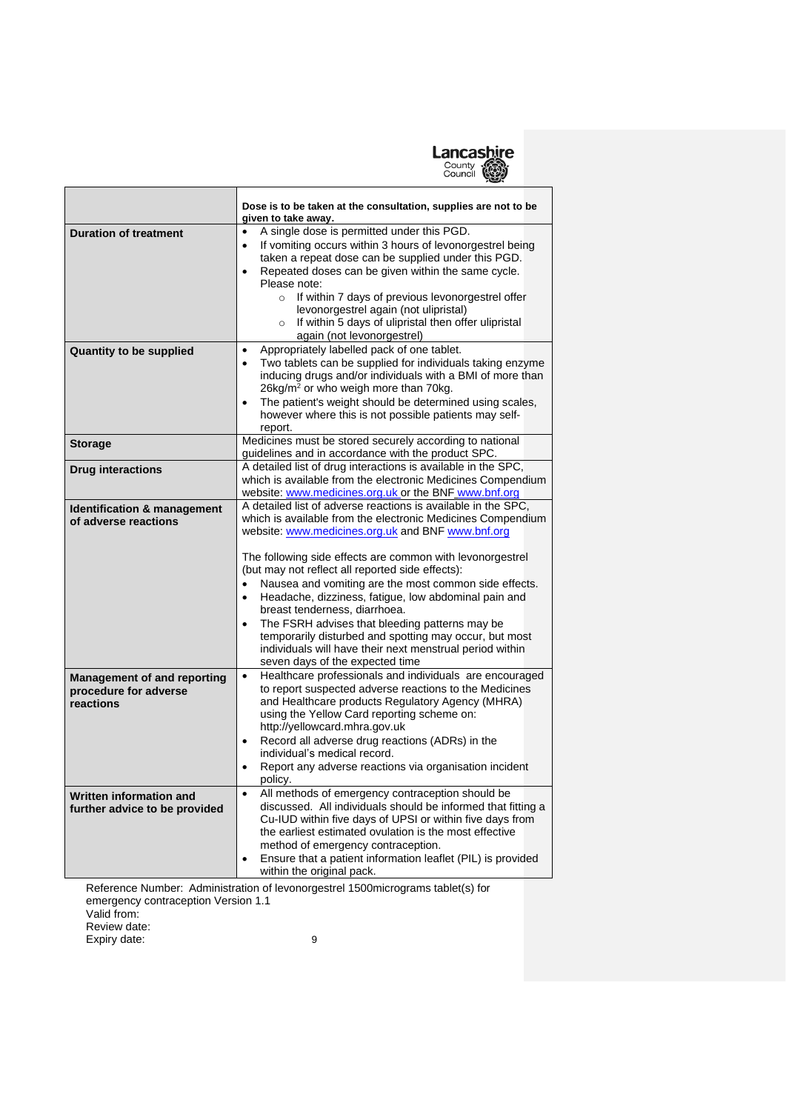

|                                                                          | Dose is to be taken at the consultation, supplies are not to be<br>given to take away.                                                                                                                                                                                                                                                                                                                                                                                                                                                                                                                                                                                                                 |
|--------------------------------------------------------------------------|--------------------------------------------------------------------------------------------------------------------------------------------------------------------------------------------------------------------------------------------------------------------------------------------------------------------------------------------------------------------------------------------------------------------------------------------------------------------------------------------------------------------------------------------------------------------------------------------------------------------------------------------------------------------------------------------------------|
| <b>Duration of treatment</b>                                             | A single dose is permitted under this PGD.<br>$\bullet$<br>If vomiting occurs within 3 hours of levonorgestrel being<br>$\bullet$<br>taken a repeat dose can be supplied under this PGD.<br>Repeated doses can be given within the same cycle.<br>$\bullet$<br>Please note:<br>If within 7 days of previous levonorgestrel offer<br>$\circ$<br>levonorgestrel again (not ulipristal)<br>If within 5 days of ulipristal then offer ulipristal<br>$\circ$<br>again (not levonorgestrel)                                                                                                                                                                                                                  |
| <b>Quantity to be supplied</b>                                           | Appropriately labelled pack of one tablet.<br>$\bullet$<br>Two tablets can be supplied for individuals taking enzyme<br>$\bullet$<br>inducing drugs and/or individuals with a BMI of more than<br>26kg/m <sup>2</sup> or who weigh more than 70kg.<br>The patient's weight should be determined using scales,<br>$\bullet$<br>however where this is not possible patients may self-<br>report.                                                                                                                                                                                                                                                                                                         |
| <b>Storage</b>                                                           | Medicines must be stored securely according to national<br>guidelines and in accordance with the product SPC.                                                                                                                                                                                                                                                                                                                                                                                                                                                                                                                                                                                          |
| <b>Drug interactions</b>                                                 | A detailed list of drug interactions is available in the SPC,<br>which is available from the electronic Medicines Compendium<br>website: www.medicines.org.uk or the BNF www.bnf.org                                                                                                                                                                                                                                                                                                                                                                                                                                                                                                                   |
| Identification & management<br>of adverse reactions                      | A detailed list of adverse reactions is available in the SPC,<br>which is available from the electronic Medicines Compendium<br>website: www.medicines.org.uk and BNF www.bnf.org<br>The following side effects are common with levonorgestrel<br>(but may not reflect all reported side effects):<br>Nausea and vomiting are the most common side effects.<br>$\bullet$<br>Headache, dizziness, fatigue, low abdominal pain and<br>$\bullet$<br>breast tenderness, diarrhoea.<br>The FSRH advises that bleeding patterns may be<br>$\bullet$<br>temporarily disturbed and spotting may occur, but most<br>individuals will have their next menstrual period within<br>seven days of the expected time |
| <b>Management of and reporting</b><br>procedure for adverse<br>reactions | Healthcare professionals and individuals are encouraged<br>$\bullet$<br>to report suspected adverse reactions to the Medicines<br>and Healthcare products Regulatory Agency (MHRA)<br>using the Yellow Card reporting scheme on:<br>http://yellowcard.mhra.gov.uk<br>Record all adverse drug reactions (ADRs) in the<br>$\bullet$<br>individual's medical record.<br>Report any adverse reactions via organisation incident<br>policy.                                                                                                                                                                                                                                                                 |
| Written information and<br>further advice to be provided                 | All methods of emergency contraception should be<br>$\bullet$<br>discussed. All individuals should be informed that fitting a<br>Cu-IUD within five days of UPSI or within five days from<br>the earliest estimated ovulation is the most effective<br>method of emergency contraception.<br>Ensure that a patient information leaflet (PIL) is provided<br>٠<br>within the original pack.                                                                                                                                                                                                                                                                                                             |

Reference Number: Administration of levonorgestrel 1500micrograms tablet(s) for emergency contraception Version 1.1 Valid from: Review date:

Expiry date: 9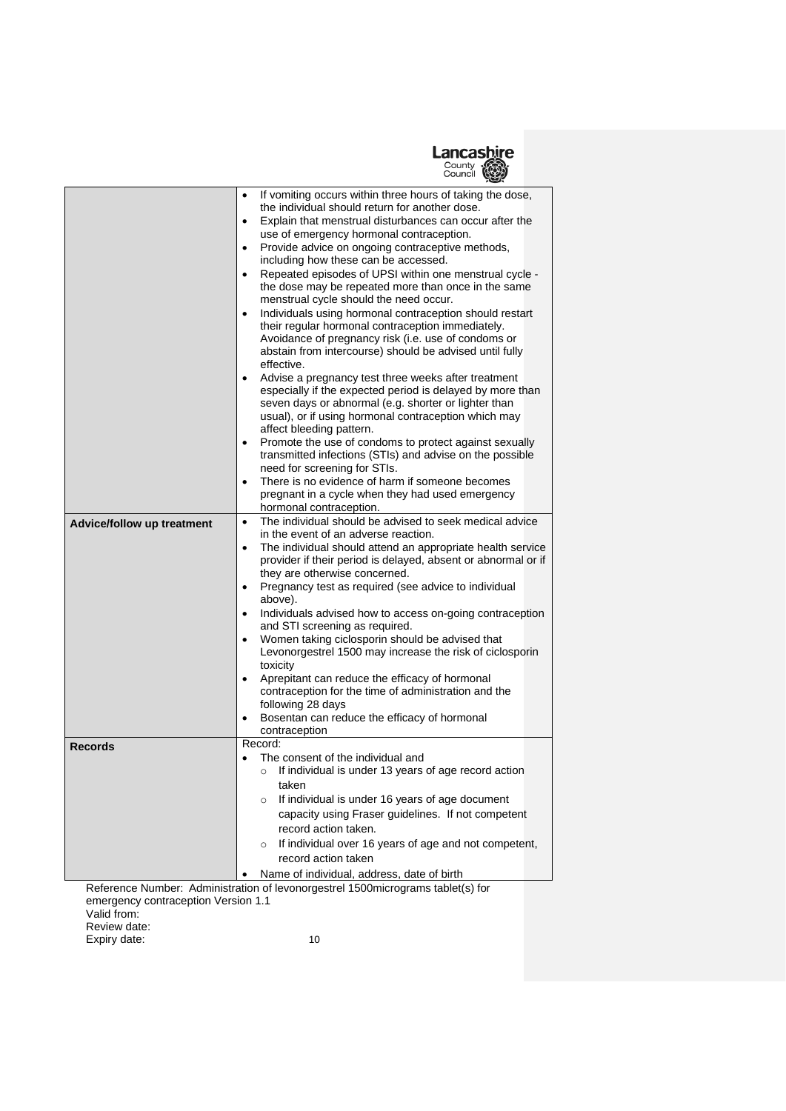

|                                   | If vomiting occurs within three hours of taking the dose,<br>$\bullet$                                            |
|-----------------------------------|-------------------------------------------------------------------------------------------------------------------|
|                                   | the individual should return for another dose.                                                                    |
|                                   | Explain that menstrual disturbances can occur after the<br>$\bullet$                                              |
|                                   | use of emergency hormonal contraception.<br>Provide advice on ongoing contraceptive methods,<br>$\bullet$         |
|                                   | including how these can be accessed.                                                                              |
|                                   | Repeated episodes of UPSI within one menstrual cycle -<br>$\bullet$                                               |
|                                   | the dose may be repeated more than once in the same                                                               |
|                                   | menstrual cycle should the need occur.                                                                            |
|                                   | Individuals using hormonal contraception should restart<br>$\bullet$                                              |
|                                   | their regular hormonal contraception immediately.                                                                 |
|                                   | Avoidance of pregnancy risk (i.e. use of condoms or                                                               |
|                                   | abstain from intercourse) should be advised until fully<br>effective.                                             |
|                                   | Advise a pregnancy test three weeks after treatment<br>$\bullet$                                                  |
|                                   | especially if the expected period is delayed by more than                                                         |
|                                   | seven days or abnormal (e.g. shorter or lighter than                                                              |
|                                   | usual), or if using hormonal contraception which may                                                              |
|                                   | affect bleeding pattern.                                                                                          |
|                                   | Promote the use of condoms to protect against sexually<br>$\bullet$                                               |
|                                   | transmitted infections (STIs) and advise on the possible                                                          |
|                                   | need for screening for STIs.<br>There is no evidence of harm if someone becomes<br>$\bullet$                      |
|                                   | pregnant in a cycle when they had used emergency                                                                  |
|                                   | hormonal contraception.                                                                                           |
| <b>Advice/follow up treatment</b> | The individual should be advised to seek medical advice<br>$\bullet$                                              |
|                                   | in the event of an adverse reaction.                                                                              |
|                                   | The individual should attend an appropriate health service<br>$\bullet$                                           |
|                                   | provider if their period is delayed, absent or abnormal or if                                                     |
|                                   | they are otherwise concerned.<br>Pregnancy test as required (see advice to individual<br>$\bullet$                |
|                                   | above).                                                                                                           |
|                                   | Individuals advised how to access on-going contraception<br>$\bullet$                                             |
|                                   | and STI screening as required.                                                                                    |
|                                   | Women taking ciclosporin should be advised that<br>$\bullet$                                                      |
|                                   | Levonorgestrel 1500 may increase the risk of ciclosporin                                                          |
|                                   | toxicity<br>$\bullet$                                                                                             |
|                                   | Aprepitant can reduce the efficacy of hormonal<br>contraception for the time of administration and the            |
|                                   | following 28 days                                                                                                 |
|                                   | Bosentan can reduce the efficacy of hormonal                                                                      |
|                                   | contraception                                                                                                     |
| <b>Records</b>                    | Record:                                                                                                           |
|                                   | The consent of the individual and<br>$\bullet$<br>If individual is under 13 years of age record action<br>$\circ$ |
|                                   | taken                                                                                                             |
|                                   | If individual is under 16 years of age document<br>O                                                              |
|                                   | capacity using Fraser guidelines. If not competent                                                                |
|                                   | record action taken.                                                                                              |
|                                   | If individual over 16 years of age and not competent,<br>$\circ$                                                  |
|                                   | record action taken                                                                                               |
|                                   | Name of individual, address, date of birth                                                                        |
|                                   |                                                                                                                   |
|                                   | Reference Number: Administration of levonorgestrel 1500micrograms tablet(s) for                                   |

emergency contraception Version 1.1 Valid from: Review date:

Expiry date: 10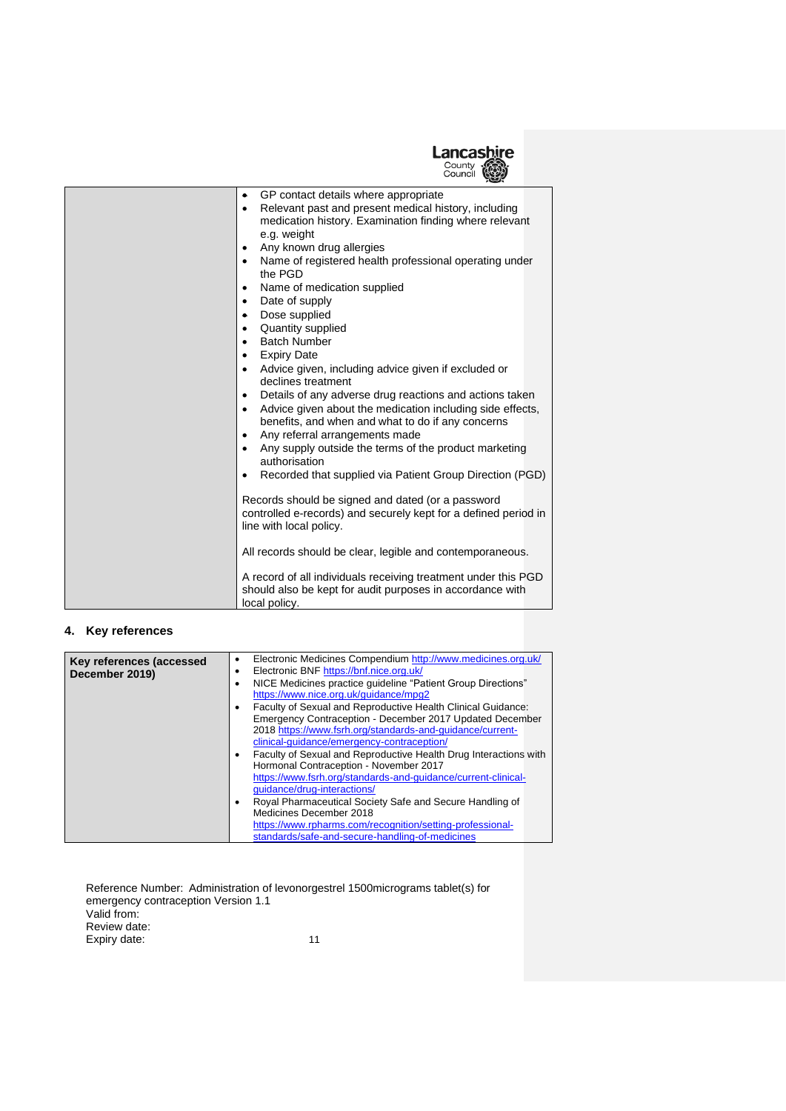

| xwx                                                                                                                                                                                                                                                                                                                                                                                                                                                                                                                                                                                                                                                                                                                                                                                                                                                       |
|-----------------------------------------------------------------------------------------------------------------------------------------------------------------------------------------------------------------------------------------------------------------------------------------------------------------------------------------------------------------------------------------------------------------------------------------------------------------------------------------------------------------------------------------------------------------------------------------------------------------------------------------------------------------------------------------------------------------------------------------------------------------------------------------------------------------------------------------------------------|
| GP contact details where appropriate<br>Relevant past and present medical history, including<br>medication history. Examination finding where relevant<br>e.g. weight<br>Any known drug allergies<br>Name of registered health professional operating under<br>the PGD<br>Name of medication supplied<br>Date of supply<br>Dose supplied<br>$\bullet$<br>Quantity supplied<br><b>Batch Number</b><br><b>Expiry Date</b><br>Advice given, including advice given if excluded or<br>declines treatment<br>Details of any adverse drug reactions and actions taken<br>Advice given about the medication including side effects,<br>benefits, and when and what to do if any concerns<br>Any referral arrangements made<br>Any supply outside the terms of the product marketing<br>authorisation<br>Recorded that supplied via Patient Group Direction (PGD) |
| Records should be signed and dated (or a password<br>controlled e-records) and securely kept for a defined period in<br>line with local policy.<br>All records should be clear, legible and contemporaneous.<br>A record of all individuals receiving treatment under this PGD<br>should also be kept for audit purposes in accordance with                                                                                                                                                                                                                                                                                                                                                                                                                                                                                                               |

# **4. Key references**

| Key references (accessed<br>December 2019) | Electronic Medicines Compendium http://www.medicines.org.uk/<br>٠<br>Electronic BNF https://bnf.nice.org.uk/<br>٠             |
|--------------------------------------------|-------------------------------------------------------------------------------------------------------------------------------|
|                                            | NICE Medicines practice quideline "Patient Group Directions"<br>https://www.nice.org.uk/guidance/mpg2                         |
|                                            | Faculty of Sexual and Reproductive Health Clinical Guidance:<br>٠<br>Emergency Contraception - December 2017 Updated December |
|                                            | 2018 https://www.fsrh.org/standards-and-guidance/current-<br>clinical-quidance/emergency-contraception/                       |
|                                            | Faculty of Sexual and Reproductive Health Drug Interactions with<br>Hormonal Contraception - November 2017                    |
|                                            | https://www.fsrh.org/standards-and-guidance/current-clinical-<br>quidance/drug-interactions/                                  |
|                                            | Royal Pharmaceutical Society Safe and Secure Handling of<br>Medicines December 2018                                           |
|                                            | https://www.rpharms.com/recognition/setting-professional-<br>standards/safe-and-secure-handling-of-medicines                  |

| Reference Number: Administration of levonorgestrel 1500 micrograms tablet(s) for |    |
|----------------------------------------------------------------------------------|----|
| emergency contraception Version 1.1                                              |    |
| Valid from:                                                                      |    |
| Review date:                                                                     |    |
| Expiry date:                                                                     | 11 |
|                                                                                  |    |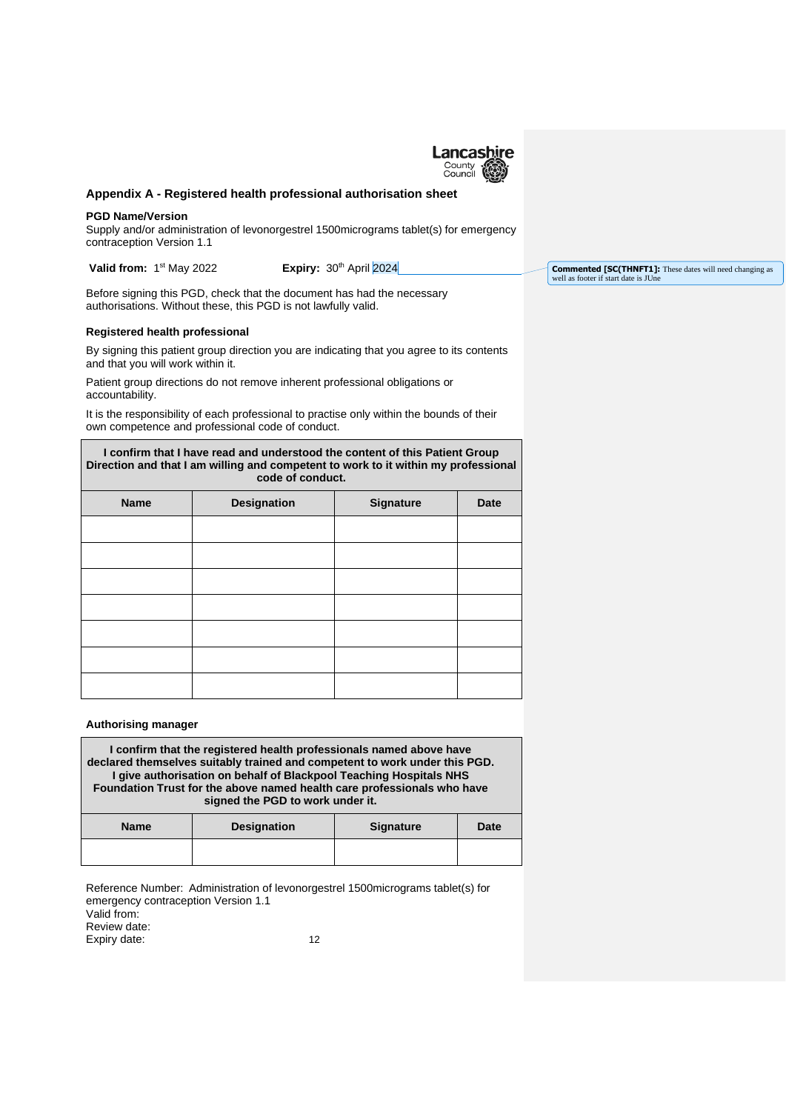

#### **Appendix A - Registered health professional authorisation sheet**

#### **PGD Name/Version**

Г

Supply and/or administration of levonorgestrel 1500micrograms tablet(s) for emergency contraception Version 1.1

**Valid from:** 1

**Expiry: 30th April 2024** 

Before signing this PGD, check that the document has had the necessary authorisations. Without these, this PGD is not lawfully valid.

#### **Registered health professional**

By signing this patient group direction you are indicating that you agree to its contents and that you will work within it.

Patient group directions do not remove inherent professional obligations or accountability.

It is the responsibility of each professional to practise only within the bounds of their own competence and professional code of conduct.

| I confirm that I have read and understood the content of this Patient Group<br>Direction and that I am willing and competent to work to it within my professional<br>code of conduct. |                    |                  |      |
|---------------------------------------------------------------------------------------------------------------------------------------------------------------------------------------|--------------------|------------------|------|
| <b>Name</b>                                                                                                                                                                           | <b>Designation</b> | <b>Signature</b> | Date |
|                                                                                                                                                                                       |                    |                  |      |

#### **Authorising manager**

**I confirm that the registered health professionals named above have declared themselves suitably trained and competent to work under this PGD. I give authorisation on behalf of Blackpool Teaching Hospitals NHS Foundation Trust for the above named health care professionals who have signed the PGD to work under it.**

| <b>Name</b> | <b>Designation</b> | <b>Signature</b> | <b>Date</b> |
|-------------|--------------------|------------------|-------------|
|             |                    |                  |             |

Reference Number: Administration of levonorgestrel 1500micrograms tablet(s) for emergency contraception Version 1.1 Valid from: Review date: Expiry date: 12

**Commented [SC(THNFT1]:** These dates will need changing as well as footer if start date is JUne